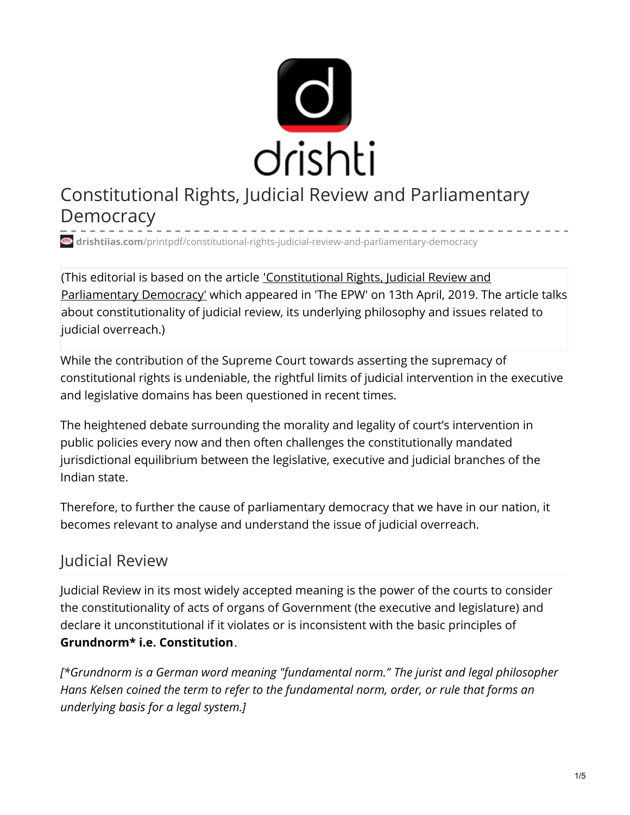

# Constitutional Rights, Judicial Review and Parliamentary **Democracy**

**drishtiias.com**[/printpdf/constitutional-rights-judicial-review-and-parliamentary-democracy](https://www.drishtiias.com/printpdf/constitutional-rights-judicial-review-and-parliamentary-democracy)

(This editorial is based on the article ['Constitutional](https://www.epw.in/journal/2019/15/perspectives/constitutional-rights-judicial-review-and.html) Rights, Judicial Review and Parliamentary Democracy' which appeared in 'The EPW' on 13th April, 2019. The article talks about constitutionality of judicial review, its underlying philosophy and issues related to judicial overreach.)

While the contribution of the Supreme Court towards asserting the supremacy of constitutional rights is undeniable, the rightful limits of judicial intervention in the executive and legislative domains has been questioned in recent times.

The heightened debate surrounding the morality and legality of court's intervention in public policies every now and then often challenges the constitutionally mandated jurisdictional equilibrium between the legislative, executive and judicial branches of the Indian state.

Therefore, to further the cause of parliamentary democracy that we have in our nation, it becomes relevant to analyse and understand the issue of judicial overreach.

### Judicial Review

Judicial Review in its most widely accepted meaning is the power of the courts to consider the constitutionality of acts of organs of Government (the executive and legislature) and declare it unconstitutional if it violates or is inconsistent with the basic principles of **Grundnorm\* i.e. Constitution**.

*[\*Grundnorm is a German word meaning "fundamental norm." The jurist and legal philosopher Hans Kelsen coined the term to refer to the fundamental norm, order, or rule that forms an underlying basis for a legal system.]*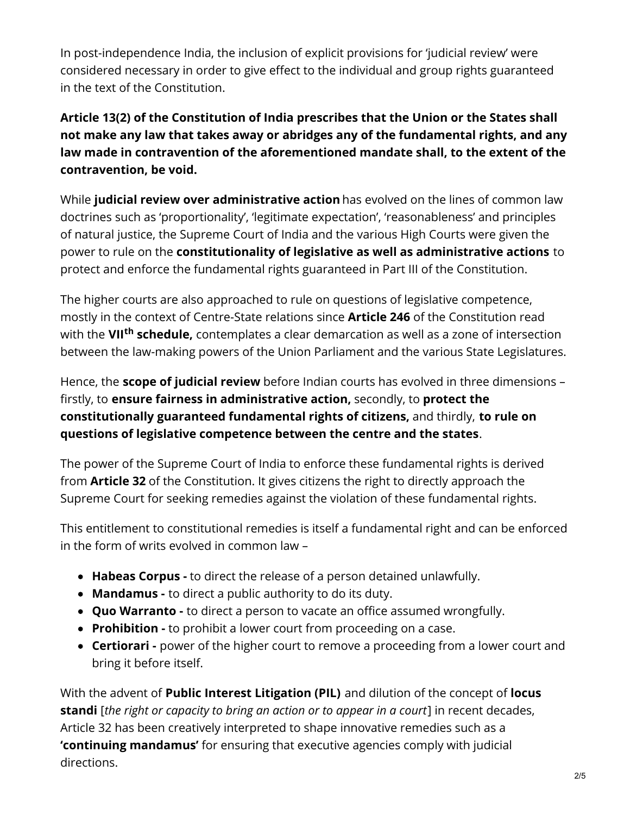In post-independence India, the inclusion of explicit provisions for 'judicial review' were considered necessary in order to give effect to the individual and group rights guaranteed in the text of the Constitution.

**Article 13(2) of the Constitution of India prescribes that the Union or the States shall not make any law that takes away or abridges any of the fundamental rights, and any law made in contravention of the aforementioned mandate shall, to the extent of the contravention, be void.**

While **judicial review over administrative action** has evolved on the lines of common law doctrines such as 'proportionality', 'legitimate expectation', 'reasonableness' and principles of natural justice, the Supreme Court of India and the various High Courts were given the power to rule on the **constitutionality of legislative as well as administrative actions** to protect and enforce the fundamental rights guaranteed in Part III of the Constitution.

The higher courts are also approached to rule on questions of legislative competence, mostly in the context of Centre-State relations since **Article 246** of the Constitution read with the **VII<sup>th</sup> schedule,** contemplates a clear demarcation as well as a zone of intersection between the law-making powers of the Union Parliament and the various State Legislatures.

Hence, the **scope of judicial review** before Indian courts has evolved in three dimensions – firstly, to **ensure fairness in administrative action,** secondly, to **protect the constitutionally guaranteed fundamental rights of citizens,** and thirdly, **to rule on questions of legislative competence between the centre and the states**.

The power of the Supreme Court of India to enforce these fundamental rights is derived from **Article 32** of the Constitution. It gives citizens the right to directly approach the Supreme Court for seeking remedies against the violation of these fundamental rights.

This entitlement to constitutional remedies is itself a fundamental right and can be enforced in the form of writs evolved in common law –

- **Habeas Corpus -** to direct the release of a person detained unlawfully.
- **Mandamus -** to direct a public authority to do its duty.
- **Quo Warranto -** to direct a person to vacate an office assumed wrongfully.
- **Prohibition -** to prohibit a lower court from proceeding on a case.
- **Certiorari -** power of the higher court to remove a proceeding from a lower court and bring it before itself.

With the advent of **Public Interest Litigation (PIL)** and dilution of the concept of **locus standi** [*the right or capacity to bring an action or to appear in a court*] in recent decades, Article 32 has been creatively interpreted to shape innovative remedies such as a **'continuing mandamus'** for ensuring that executive agencies comply with judicial directions.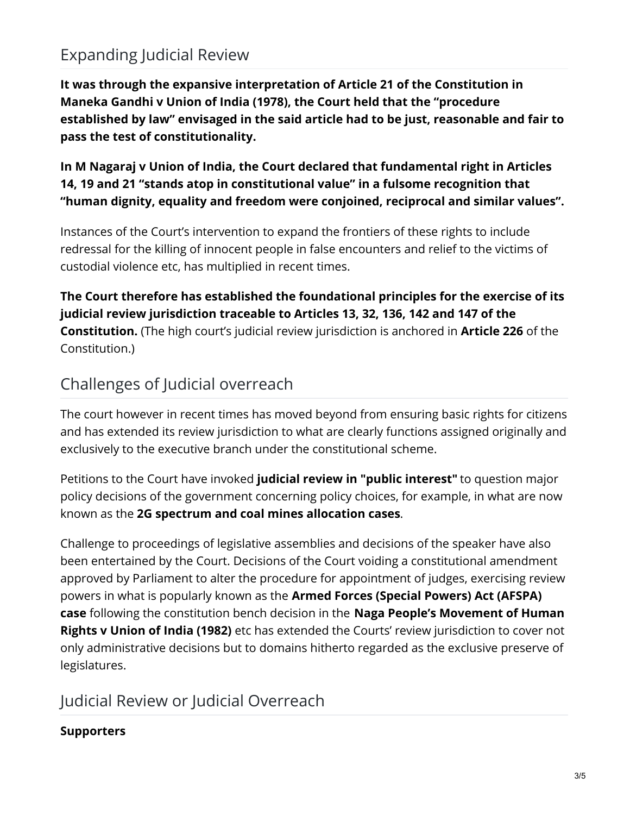# Expanding Judicial Review

**It was through the expansive interpretation of Article 21 of the Constitution in Maneka Gandhi v Union of India (1978), the Court held that the "procedure established by law" envisaged in the said article had to be just, reasonable and fair to pass the test of constitutionality.**

**In M Nagaraj v Union of India, the Court declared that fundamental right in Articles 14, 19 and 21 "stands atop in constitutional value" in a fulsome recognition that "human dignity, equality and freedom were conjoined, reciprocal and similar values".**

Instances of the Court's intervention to expand the frontiers of these rights to include redressal for the killing of innocent people in false encounters and relief to the victims of custodial violence etc, has multiplied in recent times.

**The Court therefore has established the foundational principles for the exercise of its judicial review jurisdiction traceable to Articles 13, 32, 136, 142 and 147 of the Constitution.** (The high court's judicial review jurisdiction is anchored in **Article 226** of the Constitution.)

## Challenges of Judicial overreach

The court however in recent times has moved beyond from ensuring basic rights for citizens and has extended its review jurisdiction to what are clearly functions assigned originally and exclusively to the executive branch under the constitutional scheme.

Petitions to the Court have invoked **judicial review in "public interest"** to question major policy decisions of the government concerning policy choices, for example, in what are now known as the **2G spectrum and coal mines allocation cases**.

Challenge to proceedings of legislative assemblies and decisions of the speaker have also been entertained by the Court. Decisions of the Court voiding a constitutional amendment approved by Parliament to alter the procedure for appointment of judges, exercising review powers in what is popularly known as the **Armed Forces (Special Powers) Act (AFSPA) case** following the constitution bench decision in the **Naga People's Movement of Human Rights v Union of India (1982)** etc has extended the Courts' review jurisdiction to cover not only administrative decisions but to domains hitherto regarded as the exclusive preserve of legislatures.

## Judicial Review or Judicial Overreach

#### **Supporters**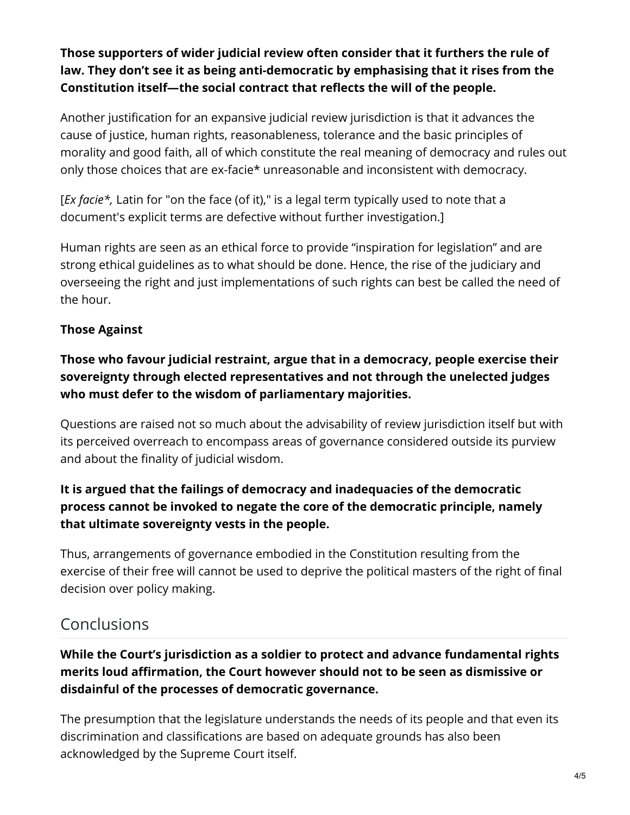**Those supporters of wider judicial review often consider that it furthers the rule of law. They don't see it as being anti-democratic by emphasising that it rises from the Constitution itself—the social contract that reflects the will of the people.**

Another justification for an expansive judicial review jurisdiction is that it advances the cause of justice, human rights, reasonableness, tolerance and the basic principles of morality and good faith, all of which constitute the real meaning of democracy and rules out only those choices that are ex-facie\* unreasonable and inconsistent with democracy.

[*Ex facie\*,* Latin for "on the face (of it)," is a legal term typically used to note that a document's explicit terms are defective without further investigation.]

Human rights are seen as an ethical force to provide "inspiration for legislation" and are strong ethical guidelines as to what should be done. Hence, the rise of the judiciary and overseeing the right and just implementations of such rights can best be called the need of the hour.

#### **Those Against**

#### **Those who favour judicial restraint, argue that in a democracy, people exercise their sovereignty through elected representatives and not through the unelected judges who must defer to the wisdom of parliamentary majorities.**

Questions are raised not so much about the advisability of review jurisdiction itself but with its perceived overreach to encompass areas of governance considered outside its purview and about the finality of judicial wisdom.

#### **It is argued that the failings of democracy and inadequacies of the democratic process cannot be invoked to negate the core of the democratic principle, namely that ultimate sovereignty vests in the people.**

Thus, arrangements of governance embodied in the Constitution resulting from the exercise of their free will cannot be used to deprive the political masters of the right of final decision over policy making.

### Conclusions

#### **While the Court's jurisdiction as a soldier to protect and advance fundamental rights merits loud affirmation, the Court however should not to be seen as dismissive or disdainful of the processes of democratic governance.**

The presumption that the legislature understands the needs of its people and that even its discrimination and classifications are based on adequate grounds has also been acknowledged by the Supreme Court itself.